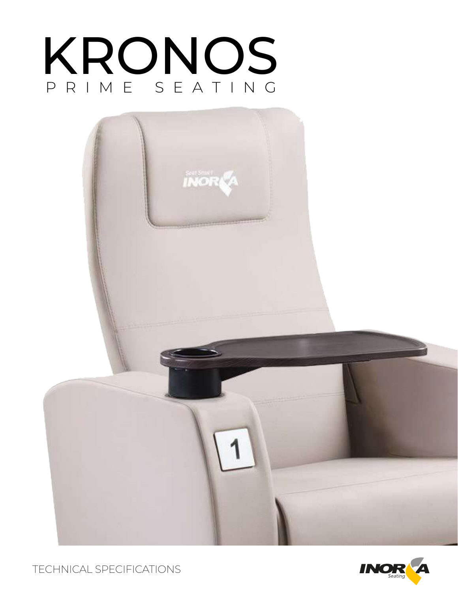



TECHNICAL SPECIFICATIONS

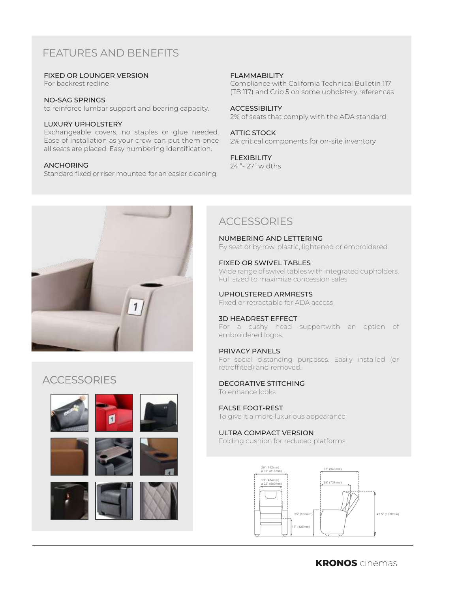# FEATURES AND BENEFITS

#### FIXED OR LOUNGER VERSION

For backrest recline

#### NO-SAG SPRINGS

to reinforce lumbar support and bearing capacity.

#### LUXURY UPHOLSTERY

Exchangeable covers, no staples or glue needed. Ease of installation as your crew can put them once all seats are placed. Easy numbering identification.

#### ANCHORING

Standard fixed or riser mounted for an easier cleaning

#### FLAMMABILITY

Compliance with California Technical Bulletin 117 (TB 117) and Crib 5 on some upholstery references

#### ACCESSIBILITY

2% of seats that comply with the ADA standard

#### ATTIC STOCK

2% critical components for on-site inventory

#### FLEXIBILITY

24 "- 27" widths



## **ACCESSORIES**











# **ACCESSORIES**

NUMBERING AND LETTERING

By seat or by row, plastic, lightened or embroidered.

#### FIXED OR SWIVEL TABLES

Wide range of swivel tables with integrated cupholders. Full sized to maximize concession sales

#### UPHOLSTERED ARMRESTS

Fixed or retractable for ADA access

#### 3D HEADREST EFFECT

For a cushy head supportwith an option of embroidered logos.

#### PRIVACY PANELS

For social distancing purposes. Easily installed (or retroffited) and removed.

#### DECORATIVE STITCHING To enhance looks

### FALSE FOOT-REST

To give it a more luxurious appearance

#### ULTRA COMPACT VERSION

Folding cushion for reduced platforms

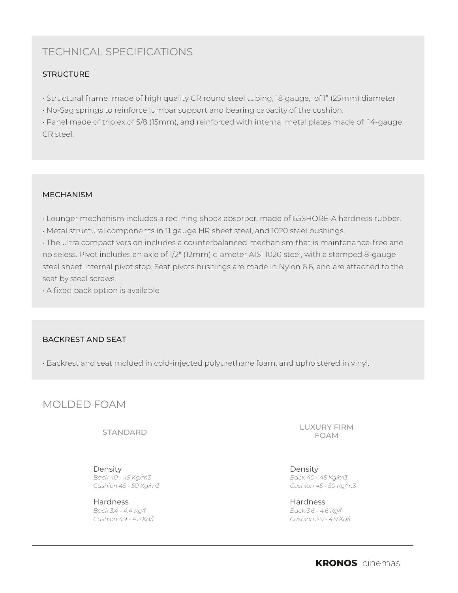# TECHNICAL SPECIFICATIONS

## **STRUCTURE**

• Structural frame made of high quality CR round steel tubing, 18 gauge, of 1" (25mm) diameter

• No-Sag springs to reinforce lumbar support and bearing capacity of the cushion.

• Panel made of triplex of 5/8 (15mm), and reinforced with internal metal plates made of 14-gauge CR steel.

### MECHANISM

• Lounger mechanism includes a reclining shock absorber, made of 65SHORE-A hardness rubber.

• Metal structural components in 11 gauge HR sheet steel, and 1020 steel bushings.

• The ultra compact version includes a counterbalanced mechanism that is maintenance-free and noiseless. Pivot includes an axle of 1/2" (12mm) diameter AISI 1020 steel, with a stamped 8-gauge steel sheet internal pivot stop. Seat pivots bushings are made in Nylon 6.6, and are attached to the seat by steel screws.

• A fixed back option is available

## BACKREST AND SEAT

• Backrest and seat molded in cold-injected polyurethane foam, and upholstered in vinyl.

# MOLDED FOAM

STANDARD

Density *Back 40 - 45 Kg/m3 Cushion 45 - 50 Kg/m3*

Hardness *Back 3.4 - 4.4 Kg/f Cushion 3.9 - 4.3 Kg/f* LUXURY FIRM FOAM

Density *Back 40 - 45 Kg/m3 Cushion 45 - 50 Kg/m3*

Hardness *Back 3.6 - 4.6 Kg/f Cushion 3.9 - 4.9 Kg/f*